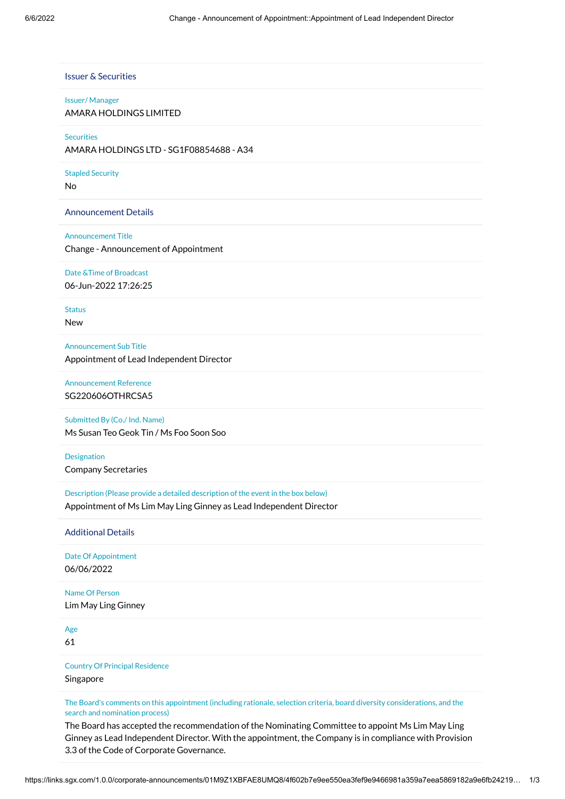|               | <b>Issuer &amp; Securities</b>                                                                                             |
|---------------|----------------------------------------------------------------------------------------------------------------------------|
|               | <b>Issuer/Manager</b>                                                                                                      |
|               | AMARA HOLDINGS LIMITED                                                                                                     |
|               | <b>Securities</b>                                                                                                          |
|               | AMARA HOLDINGS LTD - SG1F08854688 - A34                                                                                    |
|               | <b>Stapled Security</b>                                                                                                    |
| <b>No</b>     |                                                                                                                            |
|               | <b>Announcement Details</b>                                                                                                |
|               | <b>Announcement Title</b>                                                                                                  |
|               | Change - Announcement of Appointment                                                                                       |
|               | Date & Time of Broadcast                                                                                                   |
|               | 06-Jun-2022 17:26:25                                                                                                       |
| <b>Status</b> |                                                                                                                            |
| <b>New</b>    |                                                                                                                            |
|               | <b>Announcement Sub Title</b>                                                                                              |
|               | Appointment of Lead Independent Director                                                                                   |
|               | <b>Announcement Reference</b>                                                                                              |
|               | SG220606OTHRCSA5                                                                                                           |
|               | Submitted By (Co./ Ind. Name)                                                                                              |
|               | Ms Susan Teo Geok Tin / Ms Foo Soon Soo                                                                                    |
|               | Designation                                                                                                                |
|               | <b>Company Secretaries</b>                                                                                                 |
|               | Description (Please provide a detailed description of the event in the box below)                                          |
|               | Appointment of Ms Lim May Ling Ginney as Lead Independent Director                                                         |
|               | <b>Additional Details</b>                                                                                                  |
|               | Date Of Appointment                                                                                                        |
|               | 06/06/2022                                                                                                                 |
|               | Name Of Person                                                                                                             |
|               | Lim May Ling Ginney                                                                                                        |
| Age           |                                                                                                                            |
| 61            |                                                                                                                            |
|               | <b>Country Of Principal Residence</b>                                                                                      |
|               | Singapore                                                                                                                  |
|               | The Board's comments on this appointment (including rationale, selection criteria, board diversity considerations, and the |
|               | search and nomination process)                                                                                             |

3.3 of the Code of Corporate Governance.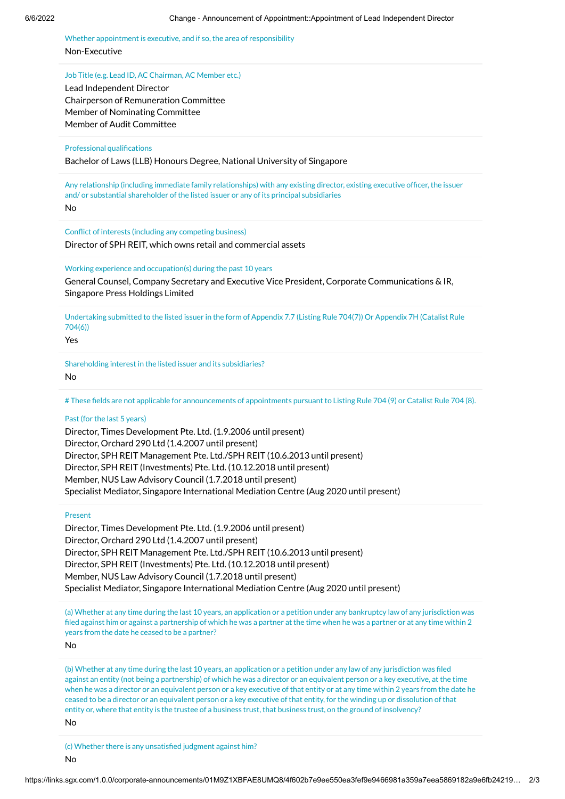Whether appointment is executive, and if so, the area of responsibility Non-Executive

## Job Title (e.g. Lead ID, AC Chairman, AC Member etc.)

Lead Independent Director Chairperson of Remuneration Committee Member of Nominating Committee Member of Audit Committee

# Professional qualifications

Bachelor of Laws (LLB) Honours Degree, National University of Singapore

Any relationship (including immediate family relationships) with any existing director, existing executive officer, the issuer and/ or substantial shareholder of the listed issuer or any of its principal subsidiaries

No

Conflict of interests (including any competing business) Director of SPH REIT, which owns retail and commercial assets

Working experience and occupation(s) during the past 10 years

General Counsel, Company Secretary and Executive Vice President, Corporate Communications & IR, Singapore Press Holdings Limited

Undertaking submitted to the listed issuer in the form of Appendix 7.7 (Listing Rule 704(7)) Or Appendix 7H (Catalist Rule 704(6))

Yes

Shareholding interest in the listed issuer and its subsidiaries? No

# These fields are not applicable for announcements of appointments pursuant to Listing Rule 704 (9) or Catalist Rule 704 (8).

# Past (for the last 5 years)

Director, Times Development Pte. Ltd. (1.9.2006 until present) Director, Orchard 290 Ltd (1.4.2007 until present) Director, SPH REIT Management Pte. Ltd./SPH REIT (10.6.2013 until present) Director, SPH REIT (Investments) Pte. Ltd. (10.12.2018 until present) Member, NUS Law Advisory Council (1.7.2018 until present) Specialist Mediator, Singapore International Mediation Centre (Aug 2020 until present)

## Present

Director, Times Development Pte. Ltd. (1.9.2006 until present) Director, Orchard 290 Ltd (1.4.2007 until present) Director, SPH REIT Management Pte. Ltd./SPH REIT (10.6.2013 until present) Director, SPH REIT (Investments) Pte. Ltd. (10.12.2018 until present) Member, NUS Law Advisory Council (1.7.2018 until present) Specialist Mediator, Singapore International Mediation Centre (Aug 2020 until present)

(a) Whether at any time during the last 10 years, an application or a petition under any bankruptcy law of any jurisdiction was filed against him or against a partnership of which he was a partner at the time when he was a partner or at any time within 2 years from the date he ceased to be a partner?

No

(b) Whether at any time during the last 10 years, an application or a petition under any law of any jurisdiction was filed against an entity (not being a partnership) of which he was a director or an equivalent person or a key executive, at the time when he was a director or an equivalent person or a key executive of that entity or at any time within 2 years from the date he ceased to be a director or an equivalent person or a key executive of that entity, for the winding up or dissolution of that entity or, where that entity is the trustee of a business trust, that business trust, on the ground of insolvency?

No

(c) Whether there is any unsatisfied judgment against him?

No